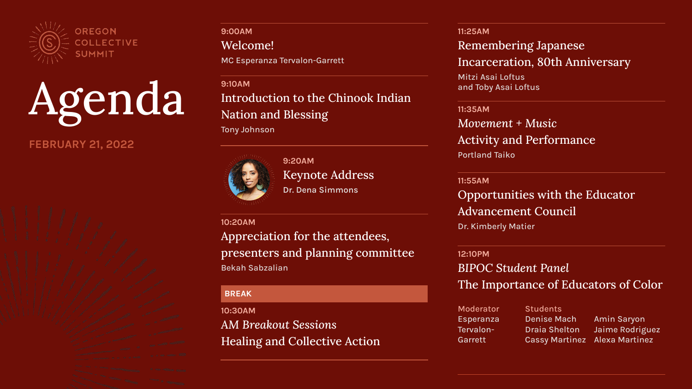

Agenda

## **FEBRUARY 21, 2022**

**9:00AM** Welcome! MC Esperanza Tervalon-Garrett

**9:10AM** Introduction to the Chinook Indian Nation and Blessing Tony Johnson



**9:20AM** Keynote Address **Dr. Dena Simmons**

#### **10:20AM**

Appreciation for the attendees, presenters and planning committee Bekah Sabzalian

### **BREAK**

**10:30AM** *AM Breakout Sessions*  Healing and Collective Action **11:25AM** Remembering Japanese Incarceration, 80th Anniversary Mitzi Asai Loftus and Toby Asai Loftus

**11:35AM** *Movement + Music* Activity and Performance Portland Taiko

#### **11:55AM**

Opportunities with the Educator Advancement Council Dr. Kimberly Matier

#### **12:10PM**

*BIPOC Student Panel* The Importance of Educators of Color

| Moderator | <b>Students</b>       |                 |
|-----------|-----------------------|-----------------|
| Esperanza | <b>Denise Mach</b>    | Amin Saryon     |
| Tervalon- | <b>Draia Shelton</b>  | Jaime Rodriguez |
| Garrett   | <b>Cassy Martinez</b> | Alexa Martinez  |